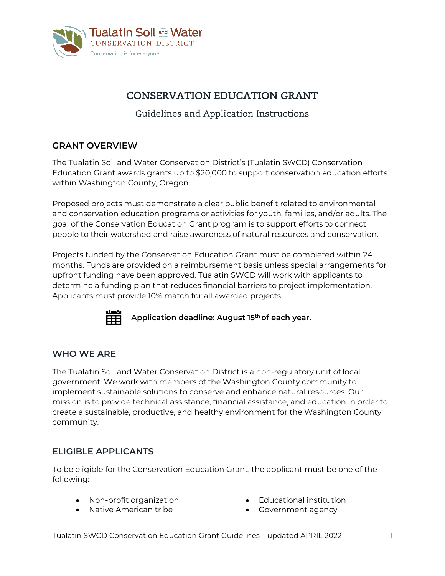

# CONSERVATION EDUCATION GRANT

## Guidelines and Application Instructions

## **GRANT OVERVIEW**

The Tualatin Soil and Water Conservation District's (Tualatin SWCD) Conservation Education Grant awards grants up to \$20,000 to support conservation education efforts within Washington County, Oregon.

Proposed projects must demonstrate a clear public benefit related to environmental and conservation education programs or activities for youth, families, and/or adults. The goal of the Conservation Education Grant program is to support efforts to connect people to their watershed and raise awareness of natural resources and conservation.

Projects funded by the Conservation Education Grant must be completed within 24 months. Funds are provided on a reimbursement basis unless special arrangements for upfront funding have been approved. Tualatin SWCD will work with applicants to determine a funding plan that reduces financial barriers to project implementation. Applicants must provide 10% match for all awarded projects.



**Application deadline: August 15th of each year.** 

## **WHO WE ARE**

The Tualatin Soil and Water Conservation District is a non-regulatory unit of local government. We work with members of the Washington County community to implement sustainable solutions to conserve and enhance natural resources. Our mission is to provide technical assistance, financial assistance, and education in order to create a sustainable, productive, and healthy environment for the Washington County community.

## **ELIGIBLE APPLICANTS**

To be eligible for the Conservation Education Grant, the applicant must be one of the following:

- Non-profit organization Educational institution
- Native American tribe Government agency
- -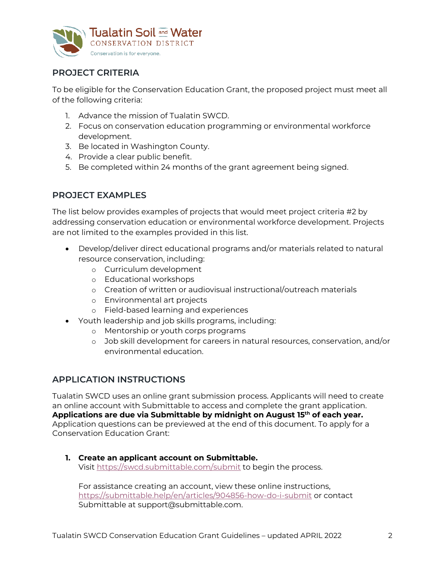

## **PROJECT CRITERIA**

To be eligible for the Conservation Education Grant, the proposed project must meet all of the following criteria:

- 1. Advance the mission of Tualatin SWCD.
- 2. Focus on conservation education programming or environmental workforce development.
- 3. Be located in Washington County.
- 4. Provide a clear public benefit.
- 5. Be completed within 24 months of the grant agreement being signed.

## **PROJECT EXAMPLES**

The list below provides examples of projects that would meet project criteria #2 by addressing conservation education or environmental workforce development. Projects are not limited to the examples provided in this list.

- Develop/deliver direct educational programs and/or materials related to natural resource conservation, including:
	- o Curriculum development
	- o Educational workshops
	- o Creation of written or audiovisual instructional/outreach materials
	- o Environmental art projects
	- o Field-based learning and experiences
- Youth leadership and job skills programs, including:
	- o Mentorship or youth corps programs
	- o Job skill development for careers in natural resources, conservation, and/or environmental education.

## **APPLICATION INSTRUCTIONS**

Tualatin SWCD uses an online grant submission process. Applicants will need to create an online account with Submittable to access and complete the grant application. **Applications are due via Submittable by midnight on August 15th of each year.** Application questions can be previewed at the end of this document. To apply for a Conservation Education Grant:

#### **1. Create an applicant account on Submittable.** Visit<https://swcd.submittable.com/submit> to begin the process.

For assistance creating an account, view these online instructions, <https://submittable.help/en/articles/904856-how-do-i-submit> or contact Submittable at support@submittable.com.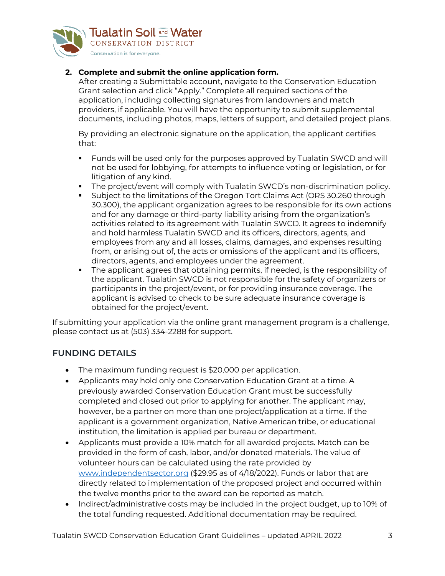

### **2. Complete and submit the online application form.**

After creating a Submittable account, navigate to the Conservation Education Grant selection and click "Apply." Complete all required sections of the application, including collecting signatures from landowners and match providers, if applicable. You will have the opportunity to submit supplemental documents, including photos, maps, letters of support, and detailed project plans.

By providing an electronic signature on the application, the applicant certifies that:

- Funds will be used only for the purposes approved by Tualatin SWCD and will not be used for lobbying, for attempts to influence voting or legislation, or for litigation of any kind.
- The project/event will comply with Tualatin SWCD's non-discrimination policy.
- Subject to the limitations of the Oregon Tort Claims Act (ORS 30.260 through 30.300), the applicant organization agrees to be responsible for its own actions and for any damage or third-party liability arising from the organization's activities related to its agreement with Tualatin SWCD. It agrees to indemnify and hold harmless Tualatin SWCD and its officers, directors, agents, and employees from any and all losses, claims, damages, and expenses resulting from, or arising out of, the acts or omissions of the applicant and its officers, directors, agents, and employees under the agreement.
- The applicant agrees that obtaining permits, if needed, is the responsibility of the applicant. Tualatin SWCD is not responsible for the safety of organizers or participants in the project/event, or for providing insurance coverage. The applicant is advised to check to be sure adequate insurance coverage is obtained for the project/event.

If submitting your application via the online grant management program is a challenge, please contact us at (503) 334-2288 for support.

## **FUNDING DETAILS**

- The maximum funding request is \$20,000 per application.
- Applicants may hold only one Conservation Education Grant at a time. A previously awarded Conservation Education Grant must be successfully completed and closed out prior to applying for another. The applicant may, however, be a partner on more than one project/application at a time. If the applicant is a government organization, Native American tribe, or educational institution, the limitation is applied per bureau or department.
- Applicants must provide a 10% match for all awarded projects. Match can be provided in the form of cash, labor, and/or donated materials. The value of volunteer hours can be calculated using the rate provided by [www.independentsector.org](http://www.independentsector.org/) (\$29.95 as of 4/18/2022). Funds or labor that are directly related to implementation of the proposed project and occurred within the twelve months prior to the award can be reported as match.
- Indirect/administrative costs may be included in the project budget, up to 10% of the total funding requested. Additional documentation may be required.

Tualatin SWCD Conservation Education Grant Guidelines - updated APRIL 2022 3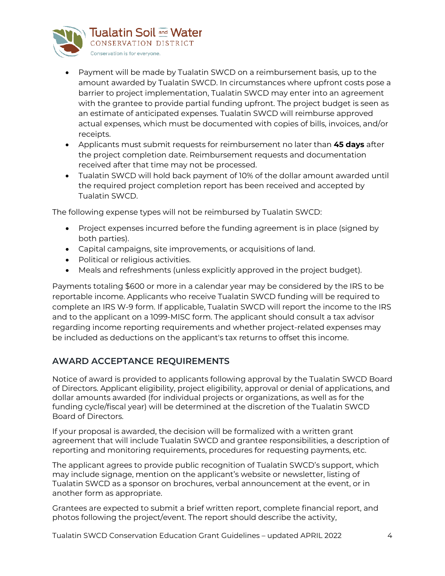

- Payment will be made by Tualatin SWCD on a reimbursement basis, up to the amount awarded by Tualatin SWCD. In circumstances where upfront costs pose a barrier to project implementation, Tualatin SWCD may enter into an agreement with the grantee to provide partial funding upfront. The project budget is seen as an estimate of anticipated expenses. Tualatin SWCD will reimburse approved actual expenses, which must be documented with copies of bills, invoices, and/or receipts.
- Applicants must submit requests for reimbursement no later than **45 days** after the project completion date. Reimbursement requests and documentation received after that time may not be processed.
- Tualatin SWCD will hold back payment of 10% of the dollar amount awarded until the required project completion report has been received and accepted by Tualatin SWCD.

The following expense types will not be reimbursed by Tualatin SWCD:

- Project expenses incurred before the funding agreement is in place (signed by both parties).
- Capital campaigns, site improvements, or acquisitions of land.
- Political or religious activities.
- Meals and refreshments (unless explicitly approved in the project budget).

Payments totaling \$600 or more in a calendar year may be considered by the IRS to be reportable income. Applicants who receive Tualatin SWCD funding will be required to complete an IRS W-9 form. If applicable, Tualatin SWCD will report the income to the IRS and to the applicant on a 1099-MISC form. The applicant should consult a tax advisor regarding income reporting requirements and whether project-related expenses may be included as deductions on the applicant's tax returns to offset this income.

## **AWARD ACCEPTANCE REQUIREMENTS**

Notice of award is provided to applicants following approval by the Tualatin SWCD Board of Directors. Applicant eligibility, project eligibility, approval or denial of applications, and dollar amounts awarded (for individual projects or organizations, as well as for the funding cycle/fiscal year) will be determined at the discretion of the Tualatin SWCD Board of Directors.

If your proposal is awarded, the decision will be formalized with a written grant agreement that will include Tualatin SWCD and grantee responsibilities, a description of reporting and monitoring requirements, procedures for requesting payments, etc.

The applicant agrees to provide public recognition of Tualatin SWCD's support, which may include signage, mention on the applicant's website or newsletter, listing of Tualatin SWCD as a sponsor on brochures, verbal announcement at the event, or in another form as appropriate.

Grantees are expected to submit a brief written report, complete financial report, and photos following the project/event. The report should describe the activity,

Tualatin SWCD Conservation Education Grant Guidelines – updated APRIL 2022 4